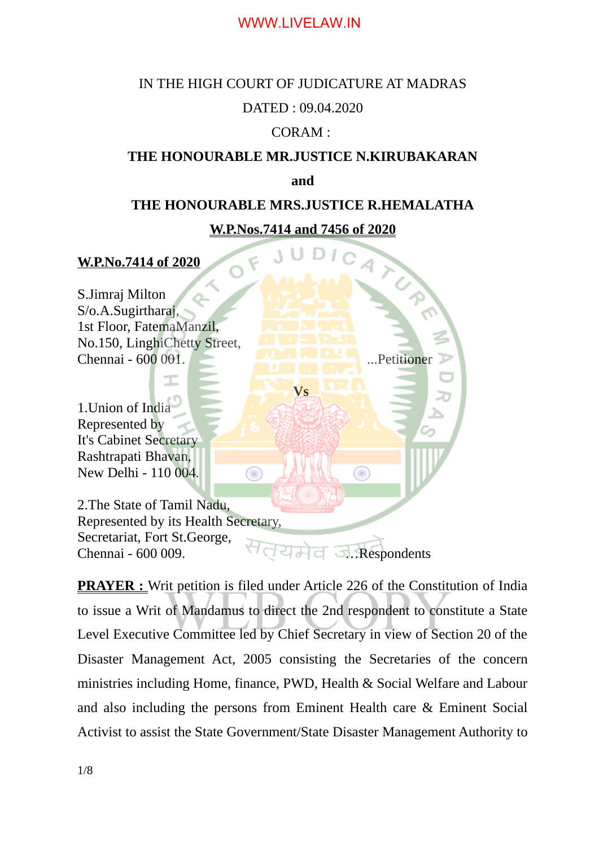## IN THE HIGH COURT OF JUDICATURE AT MADRAS

# DATED : 09.04.2020

# CORAM :

## **THE HONOURABLE MR.JUSTICE N.KIRUBAKARAN**

**and**

## **THE HONOURABLE MRS.JUSTICE R.HEMALATHA**

# **W.P.Nos.7414 and 7456 of 2020**

F

 $\bigcirc$ 

**Vs** 

#### **W.P.No.7414 of 2020**

S.Jimraj Milton S/o.A.Sugirtharaj, 1st Floor, FatemaManzil, No.150, LinghiChetty Street, Chennai - 600 001. ...Petitioner

1.Union of India Represented by It's Cabinet Secretary Rashtrapati Bhavan, New Delhi - 110 004.

2.The State of Tamil Nadu, Represented by its Health Secretary, Secretariat, Fort St.George, Chennai - 600 009. …Respondents

∩

**PRAYER :** Writ petition is filed under Article 226 of the Constitution of India to issue a Writ of Mandamus to direct the 2nd respondent to constitute a State Level Executive Committee led by Chief Secretary in view of Section 20 of the Disaster Management Act, 2005 consisting the Secretaries of the concern ministries including Home, finance, PWD, Health & Social Welfare and Labour and also including the persons from Eminent Health care & Eminent Social Activist to assist the State Government/State Disaster Management Authority to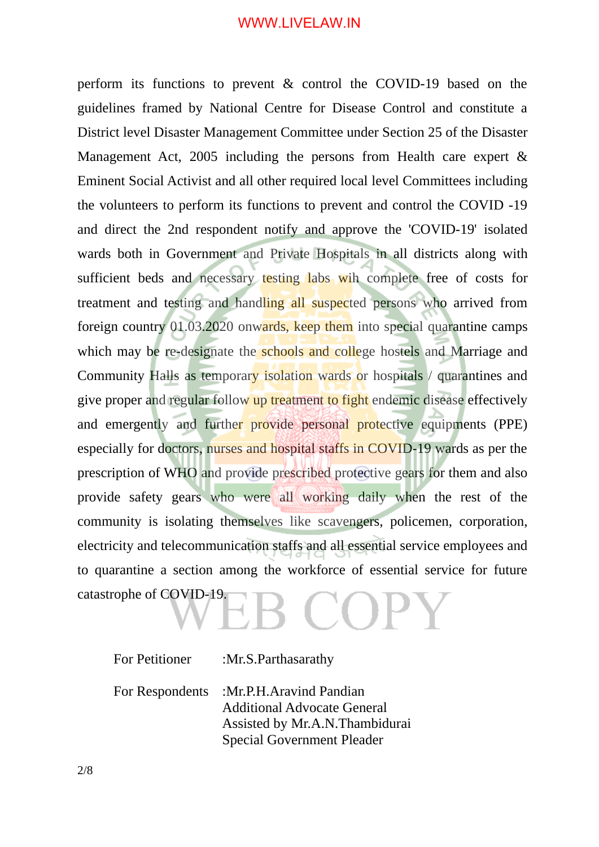perform its functions to prevent & control the COVID-19 based on the guidelines framed by National Centre for Disease Control and constitute a District level Disaster Management Committee under Section 25 of the Disaster Management Act, 2005 including the persons from Health care expert & Eminent Social Activist and all other required local level Committees including the volunteers to perform its functions to prevent and control the COVID -19 and direct the 2nd respondent notify and approve the 'COVID-19' isolated wards both in Government and Private Hospitals in all districts along with sufficient beds and necessary testing labs wih complete free of costs for treatment and testing and handling all suspected persons who arrived from foreign country 01.03.2020 onwards, keep them into special quarantine camps which may be re-designate the **schools and college** hostels and Marriage and Community Halls as temporary isolation wards or hospitals / quarantines and give proper and regular follow up treatment to fight endemic disease effectively and emergently and further provide personal protective equipments (PPE) especially for doctors, nurses and hospital staffs in COVID-19 wards as per the prescription of WHO and provide prescribed protective gears for them and also provide safety gears who were all working daily when the rest of the community is isolating themselves like scavengers, policemen, corporation, electricity and telecommunication staffs and all essential service employees and to quarantine a section among the workforce of essential service for future catastrophe of COVID-19. 3 COPY

| For Petitioner | :Mr.S.Parthasarathy                                                                                                                                  |
|----------------|------------------------------------------------------------------------------------------------------------------------------------------------------|
|                | For Respondents :Mr.P.H.Aravind Pandian<br><b>Additional Advocate General</b><br>Assisted by Mr.A.N.Thambidurai<br><b>Special Government Pleader</b> |

2/8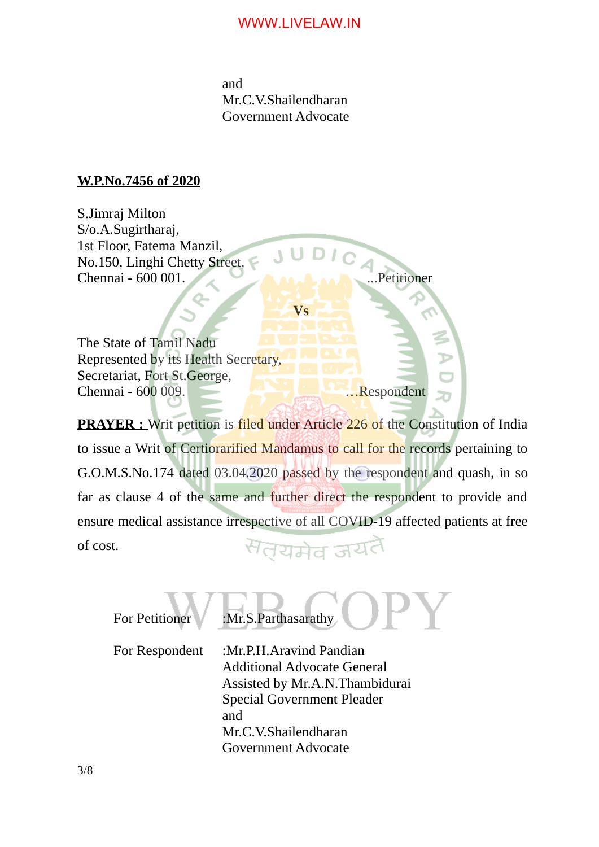and Mr.C.V.Shailendharan Government Advocate

#### **W.P.No.7456 of 2020**

S.Jimraj Milton S/o.A.Sugirtharaj, 1st Floor, Fatema Manzil, No.150, Linghi Chetty Street, 1st Floor, Fatema Manzu,<br>No.150, Linghi Chetty Street,<br>Chennai - 600 001. ....Petitioner

The State of Tamil Nadu Represented by its Health Secretary, Secretariat, Fort St.George, Chennai - 600 009. **Executed all and Solution Chennai - 600 009. Executed all and Solution Chennai - 600 009.** 

**PRAYER :** Writ petition is filed under Article 226 of the Constitution of India to issue a Writ of Certiorarified Mandamus to call for the records pertaining to G.O.M.S.No.174 dated 03.04.2020 passed by the respondent and quash, in so far as clause 4 of the same and further direct the respondent to provide and ensure medical assistance irrespective of all COVID-19 affected patients at free सतयमेव जयतै of cost.

**Vs** 

| For Petitioner | :Mr.S.Parthasarathy                                                                                                                                                                               |
|----------------|---------------------------------------------------------------------------------------------------------------------------------------------------------------------------------------------------|
| For Respondent | :Mr.P.H.Aravind Pandian<br><b>Additional Advocate General</b><br>Assisted by Mr.A.N.Thambidurai<br><b>Special Government Pleader</b><br>and<br>Mr.C.V.Shailendharan<br><b>Government Advocate</b> |

3/8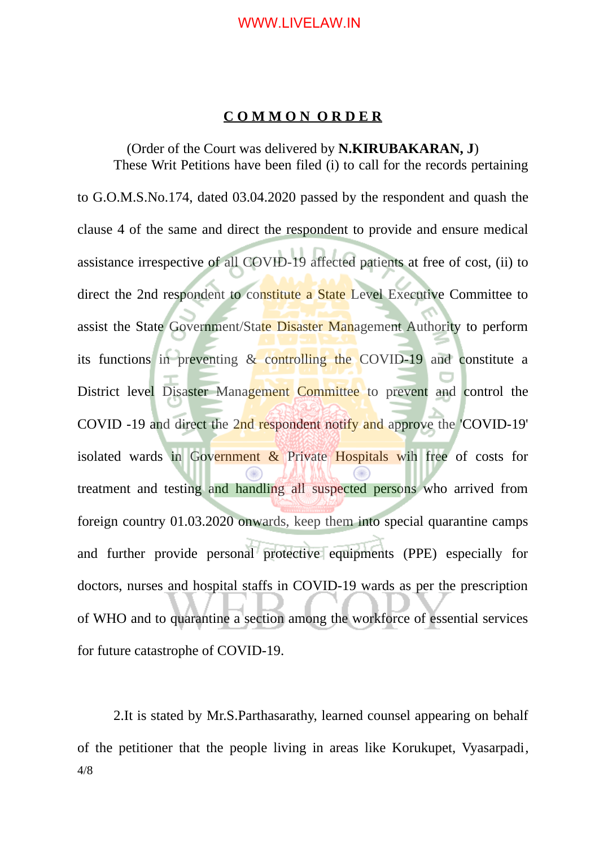#### **C O M M O N O R D E R**

(Order of the Court was delivered by **N.KIRUBAKARAN, J**) These Writ Petitions have been filed (i) to call for the records pertaining to G.O.M.S.No.174, dated 03.04.2020 passed by the respondent and quash the clause 4 of the same and direct the respondent to provide and ensure medical assistance irrespective of all COVID-19 affected patients at free of cost, (ii) to direct the 2nd respondent to constitute a State Level Executive Committee to assist the State Government/State Disaster Management Authority to perform its functions in preventing & controlling the COVID-19 and constitute a District level Disaster Management Committee to prevent and control the COVID -19 and direct the 2nd respondent notify and approve the 'COVID-19' isolated wards in Government & Private Hospitals wih free of costs for treatment and testing and handling all suspected persons who arrived from foreign country 01.03.2020 onwards, keep them into special quarantine camps and further provide personal protective equipments (PPE) especially for doctors, nurses and hospital staffs in COVID-19 wards as per the prescription of WHO and to quarantine a section among the workforce of essential services for future catastrophe of COVID-19.

2.It is stated by Mr.S.Parthasarathy, learned counsel appearing on behalf of the petitioner that the people living in areas like Korukupet, Vyasarpadi, 4/8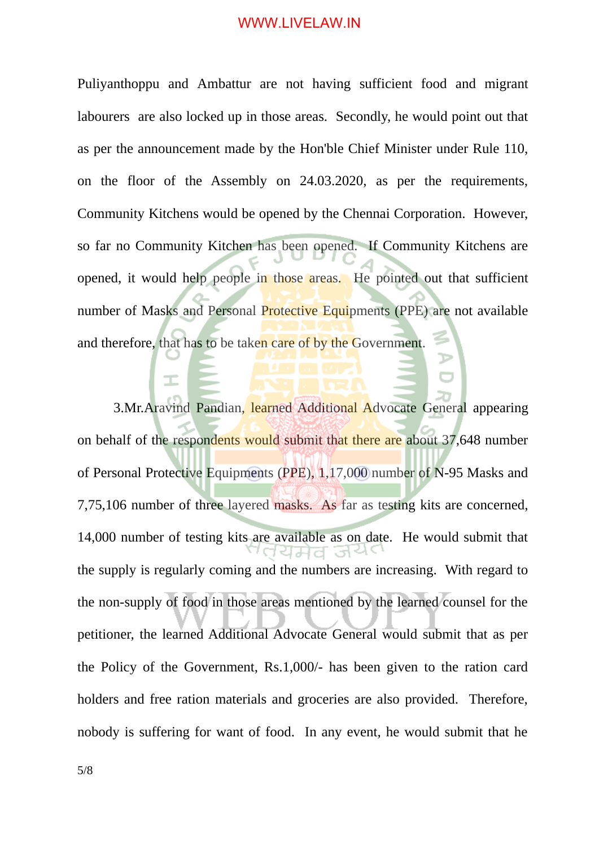Puliyanthoppu and Ambattur are not having sufficient food and migrant labourers are also locked up in those areas. Secondly, he would point out that as per the announcement made by the Hon'ble Chief Minister under Rule 110, on the floor of the Assembly on 24.03.2020, as per the requirements, Community Kitchens would be opened by the Chennai Corporation. However, so far no Community Kitchen has been opened. If Community Kitchens are opened, it would help people in those areas. He pointed out that sufficient number of Masks and Personal Protective Equipments (PPE) are not available and therefore, that has to be taken care of by the Government.

3.Mr.Aravind Pandian, learned Additional Advocate General appearing on behalf of the respondents would submit that there are about 37,648 number of Personal Protective Equipments (PPE), 1,17,000 number of N-95 Masks and 7,75,106 number of three layered masks. As far as testing kits are concerned, 14,000 number of testing kits are available as on date. He would submit that the supply is regularly coming and the numbers are increasing. With regard to the non-supply of food in those areas mentioned by the learned counsel for the petitioner, the learned Additional Advocate General would submit that as per the Policy of the Government, Rs.1,000/- has been given to the ration card holders and free ration materials and groceries are also provided. Therefore, nobody is suffering for want of food. In any event, he would submit that he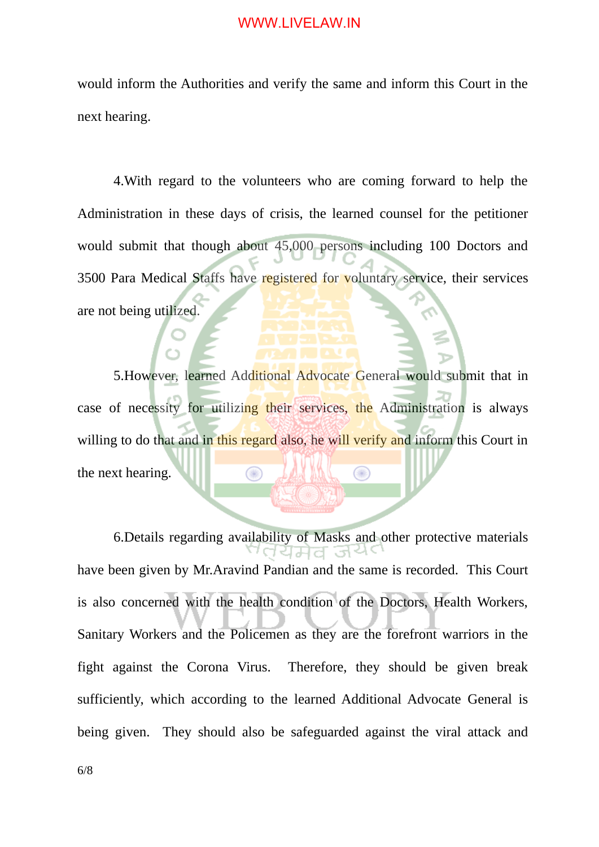would inform the Authorities and verify the same and inform this Court in the next hearing.

4.With regard to the volunteers who are coming forward to help the Administration in these days of crisis, the learned counsel for the petitioner would submit that though about 45,000 persons including 100 Doctors and 3500 Para Medical Staffs have registered for voluntary service, their services are not being utilized.

5. However, learned Additional Advocate General would submit that in case of necessity for utilizing their services, the Administration is always willing to do that and in this regard also, he will verify and inform this Court in the next hearing.

6.Details regarding availability of Masks and other protective materials have been given by Mr.Aravind Pandian and the same is recorded. This Court is also concerned with the health condition of the Doctors, Health Workers, Sanitary Workers and the Policemen as they are the forefront warriors in the fight against the Corona Virus. Therefore, they should be given break sufficiently, which according to the learned Additional Advocate General is being given. They should also be safeguarded against the viral attack and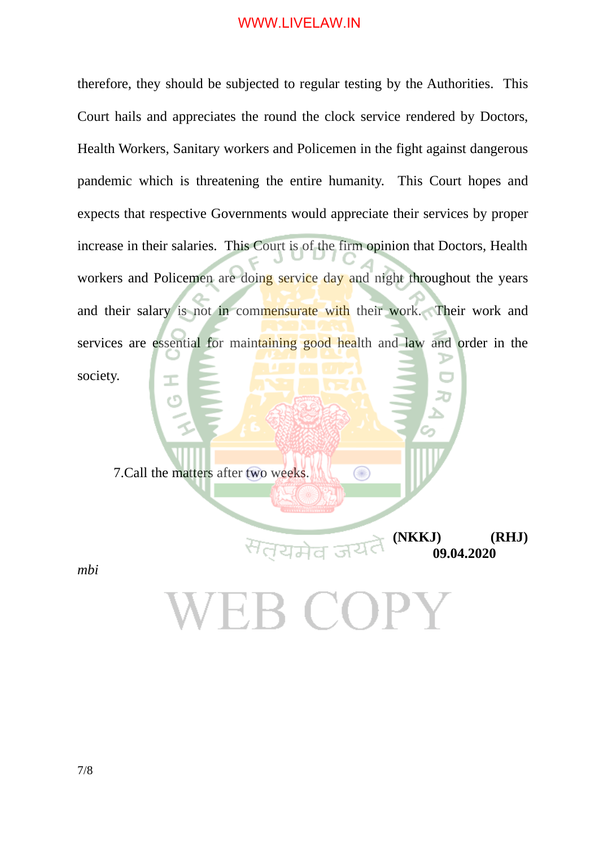therefore, they should be subjected to regular testing by the Authorities. This Court hails and appreciates the round the clock service rendered by Doctors, Health Workers, Sanitary workers and Policemen in the fight against dangerous pandemic which is threatening the entire humanity. This Court hopes and expects that respective Governments would appreciate their services by proper increase in their salaries. This Court is of the firm opinion that Doctors, Health workers and Policemen are doing service day and night throughout the years and their salary is not in commensurate with their work. Their work and services are essential for maintaining good health and law and order in the society.

7. Call the matters after two weeks.

**(NKKJ) (RHJ) 09.04.2020** 

*mbi*

3 COP

Œ